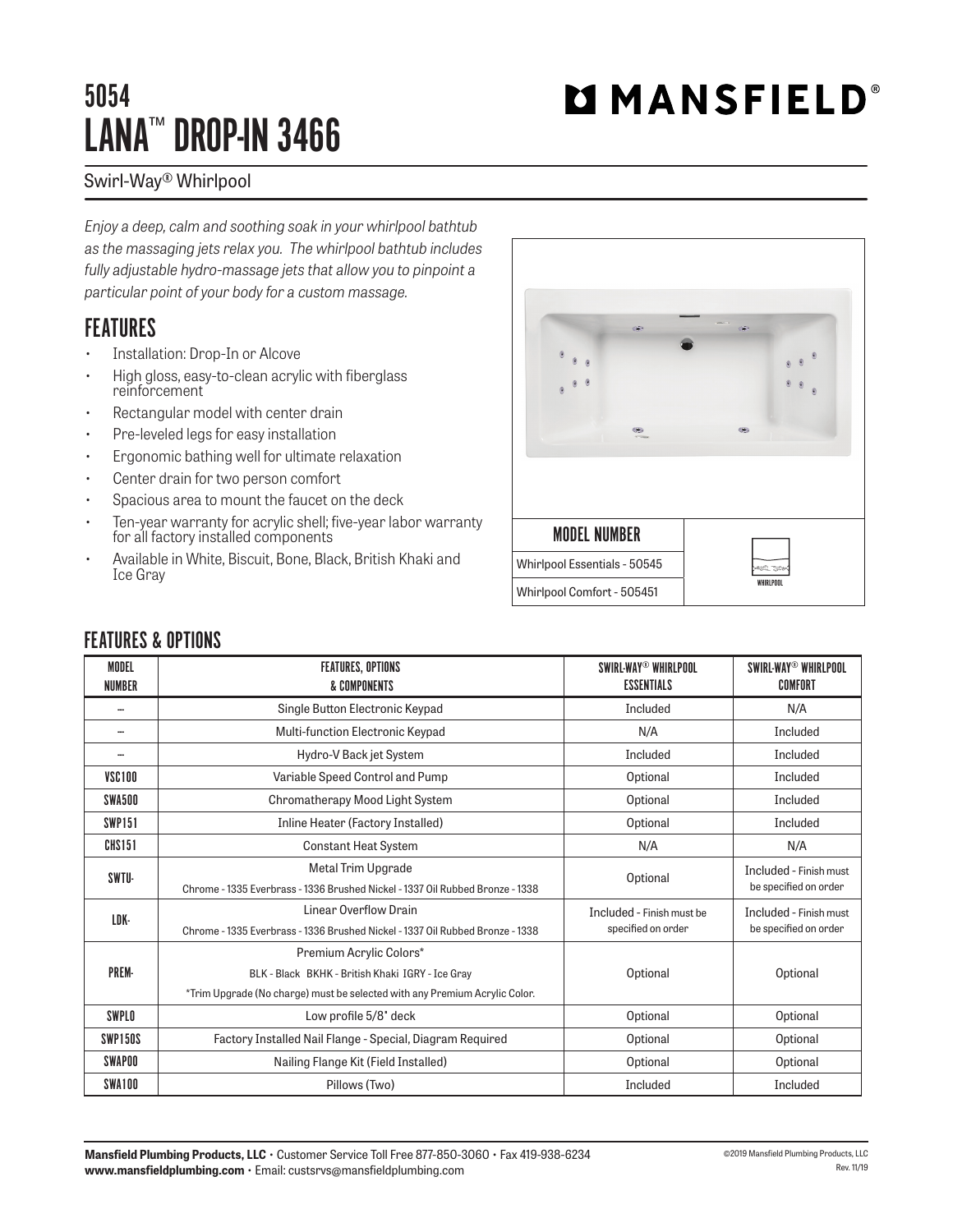## 5054 LANA™ DROP-IN 3466

# **MMANSFIELD®**

#### Swirl-Way® Whirlpool

*Enjoy a deep, calm and soothing soak in your whirlpool bathtub as the massaging jets relax you. The whirlpool bathtub includes fully adjustable hydro-massage jets that allow you to pinpoint a particular point of your body for a custom massage.*

## **FEATURES**

- Installation: Drop-In or Alcove
- High gloss, easy-to-clean acrylic with fiberglass reinforcement
- Rectangular model with center drain
- Pre-leveled legs for easy installation
- Ergonomic bathing well for ultimate relaxation
- Center drain for two person comfort
- Spacious area to mount the faucet on the deck
- Ten-year warranty for acrylic shell; five-year labor warranty for all factory installed components
- Available in White, Biscuit, Bone, Black, British Khaki and Ice Gray



### FEATURES & OPTIONS

| <b>MODEL</b><br><b>NUMBER</b> | <b>FEATURES, OPTIONS</b><br>& COMPONENTS                                      | SWIRL-WAY® WHIRLPOOL<br><b>ESSENTIALS</b> | SWIRL-WAY® WHIRLPOOL<br>COMFORT                 |
|-------------------------------|-------------------------------------------------------------------------------|-------------------------------------------|-------------------------------------------------|
|                               | Single Button Electronic Keypad                                               | Included                                  | N/A                                             |
| --                            | Multi-function Electronic Keypad                                              | N/A                                       | Included                                        |
|                               | Hydro-V Back jet System                                                       | Included                                  | Included                                        |
| VSC100                        | Variable Speed Control and Pump                                               | Optional                                  | Included                                        |
| SWA500                        | Chromatherapy Mood Light System                                               | Optional                                  | Included                                        |
| <b>SWP151</b>                 | Inline Heater (Factory Installed)                                             | Optional                                  | Included                                        |
| CHS151                        | <b>Constant Heat System</b>                                                   | N/A                                       | N/A                                             |
| SWTU-                         | Metal Trim Upgrade                                                            | Optional                                  | Included - Finish must<br>be specified on order |
|                               | Chrome - 1335 Everbrass - 1336 Brushed Nickel - 1337 Oil Rubbed Bronze - 1338 |                                           |                                                 |
| LDK-                          | Linear Overflow Drain                                                         | Included - Finish must be                 | Included - Finish must<br>be specified on order |
|                               | Chrome - 1335 Everbrass - 1336 Brushed Nickel - 1337 Oil Rubbed Bronze - 1338 | specified on order                        |                                                 |
| <b>PREM-</b>                  | Premium Acrylic Colors*                                                       |                                           | Optional                                        |
|                               | BLK - Black BKHK - British Khaki IGRY - Ice Gray                              | Optional                                  |                                                 |
|                               | *Trim Upgrade (No charge) must be selected with any Premium Acrylic Color.    |                                           |                                                 |
| SWPLO                         | Low profile 5/8" deck                                                         | Optional                                  | Optional                                        |
| SWP150S                       | Factory Installed Nail Flange - Special, Diagram Required                     | Optional                                  | Optional                                        |
| <b>SWAPOO</b>                 | Nailing Flange Kit (Field Installed)                                          | Optional                                  | Optional                                        |
| SWA100                        | Pillows (Two)                                                                 | Included                                  | Included                                        |